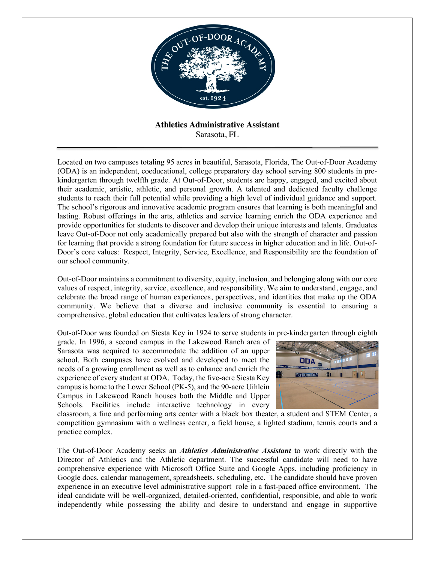

**Athletics Administrative Assistant** Sarasota, FL

Located on two campuses totaling 95 acres in beautiful, Sarasota, Florida, The Out-of-Door Academy (ODA) is an independent, coeducational, college preparatory day school serving 800 students in prekindergarten through twelfth grade. At Out-of-Door, students are happy, engaged, and excited about their academic, artistic, athletic, and personal growth. A talented and dedicated faculty challenge students to reach their full potential while providing a high level of individual guidance and support. The school's rigorous and innovative academic program ensures that learning is both meaningful and lasting. Robust offerings in the arts, athletics and service learning enrich the ODA experience and provide opportunities for students to discover and develop their unique interests and talents. Graduates leave Out-of-Door not only academically prepared but also with the strength of character and passion for learning that provide a strong foundation for future success in higher education and in life. Out-of-Door's core values: Respect, Integrity, Service, Excellence, and Responsibility are the foundation of our school community.

Out-of-Door maintains a commitment to diversity, equity, inclusion, and belonging along with our core values of respect, integrity, service, excellence, and responsibility. We aim to understand, engage, and celebrate the broad range of human experiences, perspectives, and identities that make up the ODA community. We believe that a diverse and inclusive community is essential to ensuring a comprehensive, global education that cultivates leaders of strong character.

Out-of-Door was founded on Siesta Key in 1924 to serve students in pre-kindergarten through eighth

grade. In 1996, a second campus in the Lakewood Ranch area of Sarasota was acquired to accommodate the addition of an upper school. Both campuses have evolved and developed to meet the needs of a growing enrollment as well as to enhance and enrich the experience of every student at ODA. Today, the five-acre Siesta Key campus is home to the Lower School (PK-5), and the 90-acre Uihlein Campus in Lakewood Ranch houses both the Middle and Upper Schools. Facilities include interactive technology in every



classroom, a fine and performing arts center with a black box theater, a student and STEM Center, a competition gymnasium with a wellness center, a field house, a lighted stadium, tennis courts and a practice complex.

The Out-of-Door Academy seeks an *Athletics Administrative Assistant* to work directly with the Director of Athletics and the Athletic department. The successful candidate will need to have comprehensive experience with Microsoft Office Suite and Google Apps, including proficiency in Google docs, calendar management, spreadsheets, scheduling, etc. The candidate should have proven experience in an executive level administrative support role in a fast-paced office environment. The ideal candidate will be well-organized, detailed-oriented, confidential, responsible, and able to work independently while possessing the ability and desire to understand and engage in supportive